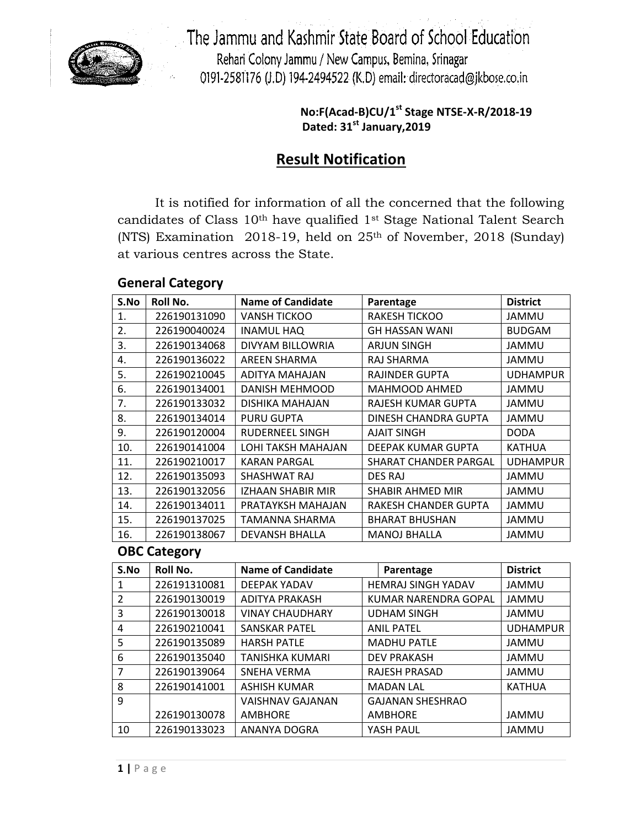

The Jammu and Kashmir State Board of School Education Rehari Colony Jammu / New Campus, Bemina, Srinagar 0191-2581176 (J.D) 194-2494522 (K.D) email: directoracad@jkbose.co.in

> **No:F(Acad-B)CU/1st Stage NTSE-X-R/2018-19 Dated: 31st January,2019**

# **Result Notification**

It is notified for information of all the concerned that the following candidates of Class 10<sup>th</sup> have qualified 1<sup>st</sup> Stage National Talent Search (NTS) Examination 2018-19, held on 25th of November, 2018 (Sunday) at various centres across the State.

## **General Category**

| S.No | <b>Roll No.</b> | <b>Name of Candidate</b> | Parentage             | <b>District</b> |
|------|-----------------|--------------------------|-----------------------|-----------------|
| 1.   | 226190131090    | <b>VANSH TICKOO</b>      | <b>RAKESH TICKOO</b>  | JAMMU           |
| 2.   | 226190040024    | <b>INAMUL HAQ</b>        | <b>GH HASSAN WANI</b> | <b>BUDGAM</b>   |
| 3.   | 226190134068    | DIVYAM BILLOWRIA         | <b>ARJUN SINGH</b>    | JAMMU           |
| 4.   | 226190136022    | AREEN SHARMA             | RAJ SHARMA            | <b>JAMMU</b>    |
| 5.   | 226190210045    | ADITYA MAHAJAN           | <b>RAJINDER GUPTA</b> | <b>UDHAMPUR</b> |
| 6.   | 226190134001    | DANISH MEHMOOD           | <b>MAHMOOD AHMED</b>  | JAMMU           |
| 7.   | 226190133032    | DISHIKA MAHAJAN          | RAJESH KUMAR GUPTA    | JAMMU           |
| 8.   | 226190134014    | <b>PURU GUPTA</b>        | DINESH CHANDRA GUPTA  | JAMMU           |
| 9.   | 226190120004    | <b>RUDERNEEL SINGH</b>   | <b>AJAIT SINGH</b>    | <b>DODA</b>     |
| 10.  | 226190141004    | LOHI TAKSH MAHAJAN       | DEEPAK KUMAR GUPTA    | <b>KATHUA</b>   |
| 11.  | 226190210017    | <b>KARAN PARGAL</b>      | SHARAT CHANDER PARGAL | <b>UDHAMPUR</b> |
| 12.  | 226190135093    | SHASHWAT RAJ             | DES RAJ               | JAMMU           |
| 13.  | 226190132056    | IZHAAN SHABIR MIR        | SHABIR AHMED MIR      | JAMMU           |
| 14.  | 226190134011    | PRATAYKSH MAHAJAN        | RAKESH CHANDER GUPTA  | <b>JAMMU</b>    |
| 15.  | 226190137025    | TAMANNA SHARMA           | <b>BHARAT BHUSHAN</b> | <b>JAMMU</b>    |
| 16.  | 226190138067    | <b>DEVANSH BHALLA</b>    | <b>MANOJ BHALLA</b>   | JAMMU           |

### **OBC Category**

| S.No          | Roll No.     | <b>Name of Candidate</b> | Parentage                 | <b>District</b> |
|---------------|--------------|--------------------------|---------------------------|-----------------|
| 1             | 226191310081 | <b>DEEPAK YADAV</b>      | <b>HEMRAJ SINGH YADAV</b> | <b>JAMMU</b>    |
| $\mathcal{P}$ | 226190130019 | <b>ADITYA PRAKASH</b>    | KUMAR NARENDRA GOPAL      | <b>JAMMU</b>    |
| 3             | 226190130018 | <b>VINAY CHAUDHARY</b>   | <b>UDHAM SINGH</b>        | <b>JAMMU</b>    |
| 4             | 226190210041 | <b>SANSKAR PATEL</b>     | <b>ANIL PATEL</b>         | <b>UDHAMPUR</b> |
| 5             | 226190135089 | <b>HARSH PATLE</b>       | <b>MADHU PATLE</b>        | JAMMU           |
| 6             | 226190135040 | TANISHKA KUMARI          | <b>DEV PRAKASH</b>        | <b>JAMMU</b>    |
| 7             | 226190139064 | SNEHA VERMA              | <b>RAJESH PRASAD</b>      | JAMMU           |
| 8             | 226190141001 | <b>ASHISH KUMAR</b>      | <b>MADAN LAL</b>          | <b>KATHUA</b>   |
| 9             |              | <b>VAISHNAV GAJANAN</b>  | <b>GAJANAN SHESHRAO</b>   |                 |
|               | 226190130078 | <b>AMBHORE</b>           | <b>AMBHORE</b>            | JAMMU           |
| 10            | 226190133023 | ANANYA DOGRA             | YASH PAUL                 | <b>JAMMU</b>    |